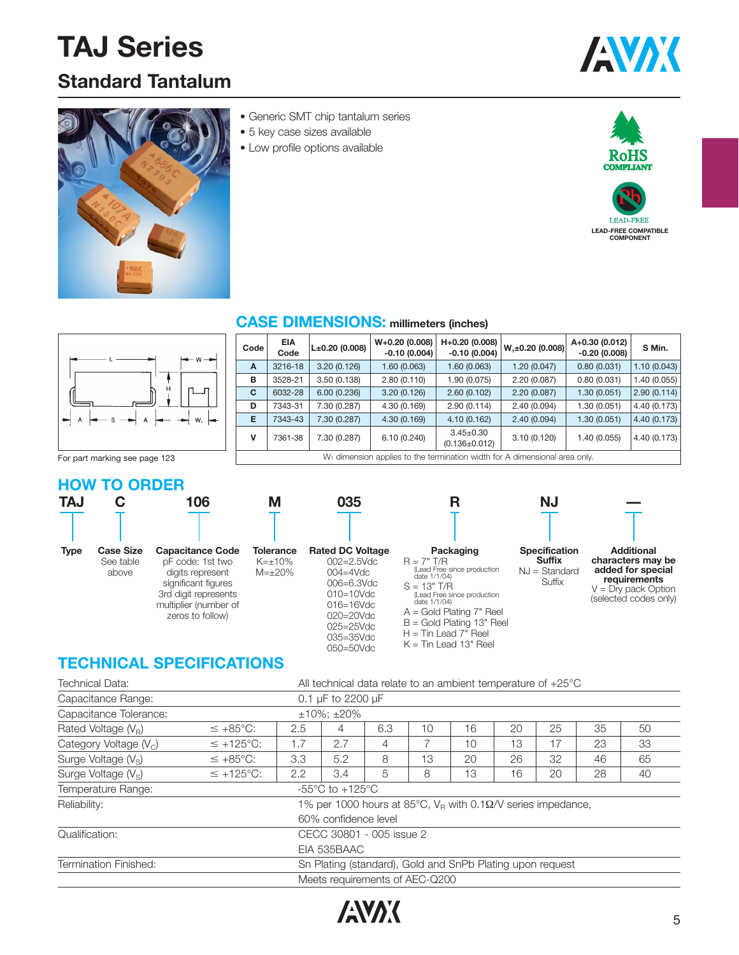# **TAJ Series**

## **Standard Tantalum**





- Generic SMT chip tantalum series
- 5 key case sizes available
- Low profile options available





| $  -$                         | Code | <b>EIA</b><br>Code                                                                     | $L±0.20$ (0.008) | $W+0.20(0.008)$<br>$-0.10(0.004)$ | H+0.20 (0.008)<br>$-0.10(0.004)$       | $W_1 \pm 0.20$ (0.008) | A+0.30 (0.012)<br>$-0.20(0.008)$ | S Min.       |  |
|-------------------------------|------|----------------------------------------------------------------------------------------|------------------|-----------------------------------|----------------------------------------|------------------------|----------------------------------|--------------|--|
|                               | A    | 3216-18                                                                                | 3.20(0.126)      | 1.60 (0.063)                      | 1.60 (0.063)                           | 1.20 (0.047)           | 0.80(0.031)                      | 1.10(0.043)  |  |
|                               | в    | 3528-21                                                                                | 3.50(0.138)      | 2.80(0.110)                       | 1.90 (0.075)                           | 2.20(0.087)            | 0.80(0.031)                      | .40(0.055)   |  |
| டி                            | C    | 6032-28                                                                                | 6.00(0.236)      | 3.20(0.126)                       | 2.60(0.102)                            | 2.20(0.087)            | 1.30 (0.051)                     | 2.90(0.114)  |  |
|                               | D    | 7343-31                                                                                | 7.30 (0.287)     | 4.30 (0.169)                      | 2.90(0.114)                            | 2.40(0.094)            | 1.30 (0.051)                     | 4.40 (0.173) |  |
|                               | E    | 7343-43                                                                                | 7.30 (0.287)     | 4.30(0.169)                       | 4.10(0.162)                            | 2.40(0.094)            | 1.30 (0.051)                     | 4.40 (0.173) |  |
|                               |      | 7361-38                                                                                | 7.30 (0.287)     | 6.10(0.240)                       | $3.45 \pm 0.30$<br>$(0.136 \pm 0.012)$ | 3.10(0.120)            | 1.40 (0.055)                     | 4.40 (0.173) |  |
| For part marking see page 123 |      | W <sub>1</sub> dimension applies to the termination width for A dimensional area only. |                  |                                   |                                        |                        |                                  |              |  |

**R**

#### **HOW TO ORDER**

See table above

| TAJ         |                  | u          |
|-------------|------------------|------------|
|             |                  |            |
| <b>Type</b> | <b>Case Size</b> | <b>.</b> . |

**106 Capacitance Code**

pF code: 1st two digits represent significant figures 3rd digit represents multiplier (number of zeros to follow)

| <b>Rated DC Voltage</b> |               |                 |  |
|-------------------------|---------------|-----------------|--|
|                         |               | $002 = 2.5$ Vdc |  |
|                         | $004 = 4$ Vdc |                 |  |
|                         |               | 006=6.3Vdc      |  |
|                         |               | $010 = 10$ Vdc  |  |
|                         |               | 016=16Vdc       |  |

**035**

020=20Vdc 025=25Vdc 035=35Vdc 050=50Vdc

**M**

**Tolerance**  $K=\pm10\%$ M=±20%

**CASE DIMENSIONS: millimeters (inches)**

**Packaging** R = 7" T/R (Lead Free since production date 1/1/04)  $S = 13" T/R$ (Lead Free since production date 1/1/04) A = Gold Plating 7" Reel B = Gold Plating 13" Reel  $H =$ Tin Lead  $7<sup>n</sup>$  Reel K = Tin Lead 13" Reel



**Suffix** NJ = Standard **Suffix** 



**—**

**characters may be added for special requirements**  $V = Dry$  pack Option (selected codes only)

### **TECHNICAL SPECIFICATIONS**

| Technical Data:                 | All technical data relate to an ambient temperature of $+25^{\circ}$ C |                                                     |                                       |                                                                         |    |    |    |    |    |    |  |
|---------------------------------|------------------------------------------------------------------------|-----------------------------------------------------|---------------------------------------|-------------------------------------------------------------------------|----|----|----|----|----|----|--|
| Capacitance Range:              |                                                                        | 0.1 µF to 2200 µF                                   |                                       |                                                                         |    |    |    |    |    |    |  |
| Capacitance Tolerance:          | $±10\%; ±20\%$                                                         |                                                     |                                       |                                                                         |    |    |    |    |    |    |  |
| Rated Voltage $(V_R)$           | $\leq +85^{\circ}$ C:                                                  | 16<br>25<br>35<br>20<br>6.3<br>10<br>2.5<br>50<br>4 |                                       |                                                                         |    |    |    |    |    |    |  |
| Category Voltage $(Vc)$         | $\leq$ +125°C:                                                         | 1.7                                                 | 2.7                                   | 4                                                                       |    | 10 | 13 | 17 | 23 | 33 |  |
| Surge Voltage (V <sub>S</sub> ) | $\leq +85^{\circ}$ C:                                                  | 3.3                                                 | 5.2                                   | 8                                                                       | 13 | 20 | 26 | 32 | 46 | 65 |  |
| Surge Voltage $(V_s)$           | $\leq$ +125°C:                                                         | 2.2                                                 | 3.4                                   | 5                                                                       | 8  | 13 | 16 | 20 | 28 | 40 |  |
| Temperature Range:              |                                                                        |                                                     | -55 $^{\circ}$ C to +125 $^{\circ}$ C |                                                                         |    |    |    |    |    |    |  |
| Reliability:                    |                                                                        |                                                     |                                       | 1% per 1000 hours at 85°C, $V_R$ with 0.1 $\Omega$ /V series impedance, |    |    |    |    |    |    |  |
|                                 |                                                                        |                                                     | 60% confidence level                  |                                                                         |    |    |    |    |    |    |  |
| Qualification:                  |                                                                        |                                                     |                                       | CECC 30801 - 005 issue 2                                                |    |    |    |    |    |    |  |
|                                 |                                                                        |                                                     | EIA 535BAAC                           |                                                                         |    |    |    |    |    |    |  |
| Termination Finished:           |                                                                        |                                                     |                                       | Sn Plating (standard), Gold and SnPb Plating upon request               |    |    |    |    |    |    |  |
|                                 |                                                                        |                                                     |                                       | Meets requirements of AEC-Q200                                          |    |    |    |    |    |    |  |

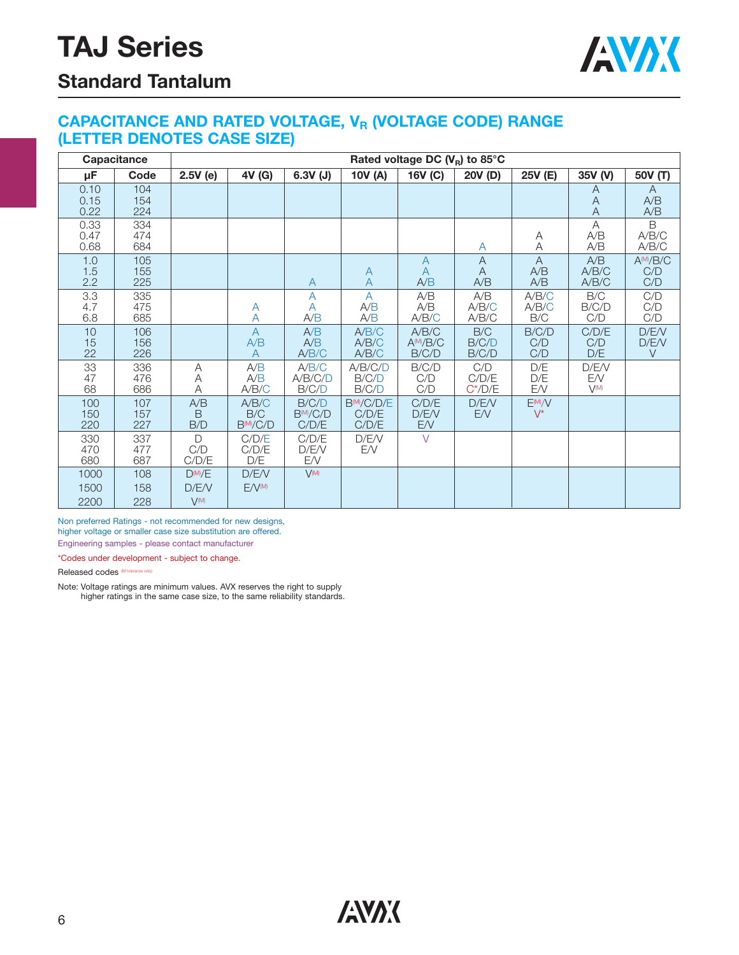

### **Standard Tantalum**

#### **CAPACITANCE AND RATED VOLTAGE, V<sub>R</sub> (VOLTAGE CODE) RANGE (LETTER DENOTES CASE SIZE)**

|                      | Capacitance       | Rated voltage DC $(V_R)$ to 85°C  |                                       |                                 |                                         |                                 |                            |                              |                          |                                       |
|----------------------|-------------------|-----------------------------------|---------------------------------------|---------------------------------|-----------------------------------------|---------------------------------|----------------------------|------------------------------|--------------------------|---------------------------------------|
| μF                   | Code              | 2.5V(e)                           | 4V (G)                                | $6.3V$ (J)                      | 10V (A)                                 | 16V (C)                         | 20V (D)                    | 25V (E)                      | 35V (V)                  | 50V (T)                               |
| 0.10<br>0.15<br>0.22 | 104<br>154<br>224 |                                   |                                       |                                 |                                         |                                 |                            |                              | A<br>A<br>$\overline{A}$ | A<br>A/B<br>A/B                       |
| 0.33<br>0.47<br>0.68 | 334<br>474<br>684 |                                   |                                       |                                 |                                         |                                 | A                          | Α<br>Α                       | A<br>A/B<br>A/B          | B<br>A/B/C<br>A/B/C                   |
| 1.0<br>1.5<br>2.2    | 105<br>155<br>225 |                                   |                                       | Α                               | A<br>$\overline{A}$                     | $\mathsf{A}$<br>A<br>A/B        | $\overline{A}$<br>A<br>A/B | $\overline{A}$<br>A/B<br>A/B | A/B<br>A/B/C<br>A/B/C    | AM/B/C<br>C/D<br>C/D                  |
| 3.3<br>4.7<br>6.8    | 335<br>475<br>685 |                                   | A<br>Α                                | $\overline{A}$<br>A<br>A/B      | $\overline{A}$<br>A/B<br>A/B            | A/B<br>A/B<br>A/B/C             | A/B<br>A/B/C<br>A/B/C      | A/B/C<br>A/B/C<br>B/C        | B/C<br>B/C/D<br>C/D      | C/D<br>$\mathrm{C}/\mathrm{D}$<br>C/D |
| 10<br>15<br>22       | 106<br>156<br>226 |                                   | $\overline{A}$<br>A/B<br>A            | A/B<br>A/B<br>A/B/C             | A/B/C<br>A/B/C<br>A/B/C                 | A/B/C<br>$A^{(M)}/B/C$<br>B/C/D | B/C<br>B/C/D<br>B/C/D      | B/C/D<br>C/D<br>C/D          | C/D/E<br>C/D<br>D/E      | D/E/V<br>D/E/V<br>$\vee$              |
| 33<br>47<br>68       | 336<br>476<br>686 | Α<br>Α<br>A                       | A/B<br>A/B<br>A/B/C                   | A/B/C<br>A/B/C/D<br>B/C/D       | A/B/C/D<br>B/C/D<br>B/C/D               | B/C/D<br>C/D<br>C/D             | C/D<br>C/D/E<br>C'/D/E     | D/E<br>D/E<br>EN             | D/E/V<br>EN<br>V(M)      |                                       |
| 100<br>150<br>220    | 107<br>157<br>227 | A/B<br><sub>B</sub><br>B/D        | A/B/C<br>B/C<br>B <sub>(M)</sub> /C/D | B/C/D<br>$B^{(M)}/C/D$<br>C/D/E | B <sup>M</sup> /C/D/E<br>C/D/E<br>C/D/E | C/D/E<br>D/E/V<br>E/V           | D/E/V<br>E/V               | E(M)/V<br>$V^*$              |                          |                                       |
| 330<br>470<br>680    | 337<br>477<br>687 | D<br>C/D<br>C/D/E                 | C/D/E<br>C/D/E<br>D/E                 | C/D/E<br>D/E/V<br>E/V           | D/E/V<br>EN                             | $\vee$                          |                            |                              |                          |                                       |
| 1000<br>1500<br>2200 | 108<br>158<br>228 | $D^{(M)}/E$<br>D/E/V<br>$V^{(M)}$ | D/E/V<br>E/V(M)                       | $V^{(M)}$                       |                                         |                                 |                            |                              |                          |                                       |

Non preferred Ratings - not recommended for new designs, higher voltage or smaller case size substitution are offered.

Engineering samples - please contact manufacturer

\*Codes under development - subject to change.

Released codes (M tolerance only)

Note: Voltage ratings are minimum values. AVX reserves the right to supply higher ratings in the same case size, to the same reliability standards.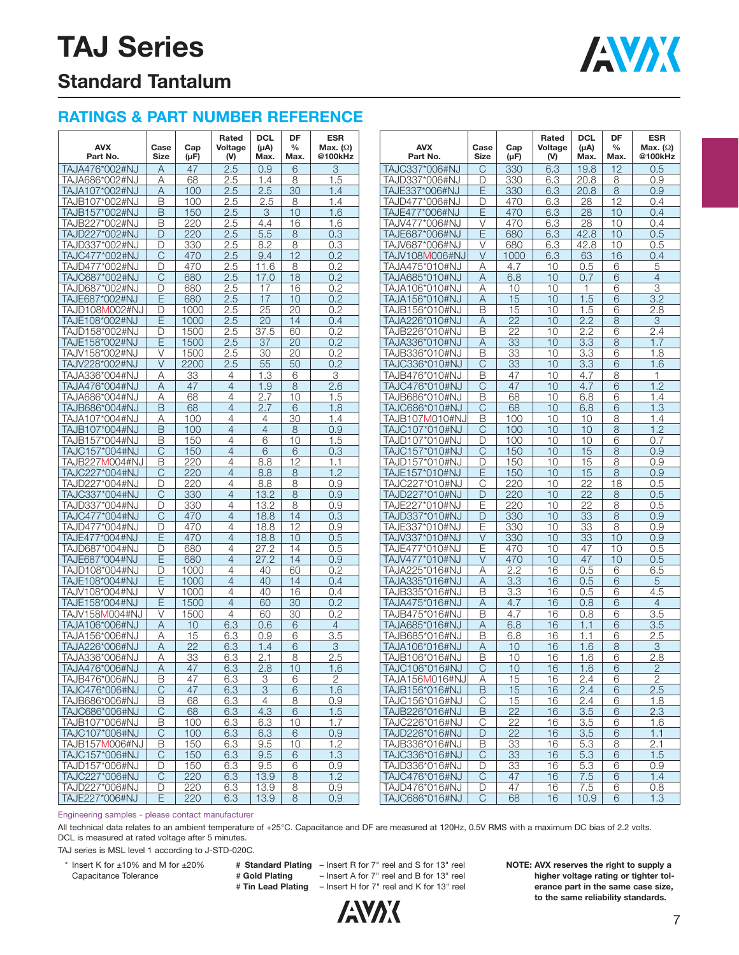## **TAJ Series**



### **Standard Tantalum**

### **RATINGS & PART NUMBER REFERENCE**

| <b>AVX</b><br>Part No.           | Case<br>Size | Cap<br>$(\mu F)$ | Rated<br>Voltage<br>(V) | <b>DCL</b><br>$(\mu A)$<br>Max. | DF<br>$\frac{0}{0}$<br>Max. | <b>ESR</b><br>Max. $(\Omega)$<br>@100kHz | <b>AVX</b><br>Part No.           | Case<br>Size | Cap<br>$(\mu F)$ | Rated<br>Voltage<br>(V) | <b>DCL</b><br>(µA)<br>Max. | DF<br>$\frac{0}{0}$<br>Max. | <b>ESR</b><br>Max. $(\Omega)$<br>@100kHz |
|----------------------------------|--------------|------------------|-------------------------|---------------------------------|-----------------------------|------------------------------------------|----------------------------------|--------------|------------------|-------------------------|----------------------------|-----------------------------|------------------------------------------|
| TAJA476*002#NJ                   | Α            | 47               | 2.5                     | 0.9                             | 6                           | 3                                        | TAJC337*006#NJ                   | С            | 330              | 6.3                     | 19.8                       | 12                          | 0.5                                      |
| TAJA686*002#NJ                   | Α            | 68               | 2.5                     | 1.4                             | 8                           | 1.5                                      | TAJD337*006#NJ                   | D            | 330              | 6.3                     | 20.8                       | 8                           | 0.9                                      |
| TAJA107*002#NJ                   | Α            | 100              | 2.5                     | 2.5                             | 30                          | 1.4                                      | TAJE337*006#NJ                   | E            | 330              | 6.3                     | 20.8                       | 8                           | 0.9                                      |
| TAJB107*002#NJ                   | B            | 100              | 2.5                     | 2.5                             | 8                           | 1.4                                      | TAJD477*006#NJ                   | D            | 470              | 6.3                     | 28                         | 12                          | 0.4                                      |
| TAJB157*002#NJ                   | B            | 150              | 2.5                     | 3                               | 10                          | 1.6                                      | TAJE477*006#NJ                   | E            | 470              | 6.3                     | 28                         | 10                          | 0.4                                      |
| TAJB227*002#NJ                   | B            | 220              | 2.5                     | 4.4                             | 16                          | 1.6                                      | TAJV477*006#NJ                   | V            | 470              | 6.3                     | 28                         | 10                          | 0.4                                      |
| TAJD227*002#NJ                   | D            | 220              | 2.5                     | 5.5                             | 8                           | 0.3                                      | TAJE687*006#NJ                   | E            | 680              | 6.3                     | 42.8                       | 10                          | 0.5                                      |
| TAJD337*002#NJ                   | D            | 330              | 2.5                     | 8.2                             | 8                           | 0.3                                      | TAJV687*006#NJ                   | V            | 680              | 6.3                     | 42.8                       | 10                          | 0.5                                      |
| TAJC477*002#NJ                   | С            | 470              | 2.5                     | 9.4                             | 12                          | 0.2                                      | TAJV108M006#NJ                   | V            | 1000             | 6.3                     | 63                         | 16                          | 0.4                                      |
| TAJD477*002#NJ                   | D            | 470              | 2.5                     | 11.6                            | 8                           | 0.2                                      | TAJA475*010#NJ                   | Α            | 4.7              | 10                      | 0.5                        | 6                           | 5                                        |
| TAJC687*002#NJ                   | С            | 680              | 2.5                     | 17.0                            | 18                          | 0.2                                      | TAJA685*010#NJ                   | Α            | 6.8              | 10                      | 0.7                        | 6                           | $\overline{4}$                           |
| TAJD687*002#NJ                   | D            | 680              | 2.5                     | 17                              | 16                          | 0.2                                      | TAJA106*010#NJ                   | Α            | 10               | 10                      |                            | 6                           | 3                                        |
| TAJE687*002#NJ                   | Ε            | 680              | 2.5                     | 17                              | 10                          | 0.2                                      | TAJA156*010#NJ                   | Α            | 15               | 10                      | 1.5                        | 6                           | 3.2                                      |
| TAJD108M002#NJ                   | D            | 1000             | 2.5                     | 25                              | 20                          | 0.2                                      | TAJB156*010#NJ                   | Β            | 15               | 10                      | 1.5                        | 6                           | 2.8                                      |
| TAJE108*002#NJ                   | Ε            | 1000             | 2.5                     | 20                              | 14                          | 0.4                                      | TAJA226*010#NJ                   | Α            | $\overline{22}$  | 10                      | 2.2                        | 8                           | 3                                        |
| TAJD158*002#NJ                   | D            | 1500             | 2.5                     | 37.5                            | 60                          | 0.2                                      | TAJB226*010#NJ                   | Β            | 22               | 10                      | 2.2                        | 6                           | 2.4                                      |
| TAJE158*002#NJ                   | Ε            | 1500             | 2.5                     | 37                              | 20                          | 0.2                                      | TAJA336*010#NJ                   | Α            | 33               | 10                      | 3.3                        | 8                           | 1.7                                      |
| TAJV158*002#NJ                   | V            | 1500             | 2.5                     | 30                              | 20                          | 0.2                                      | TAJB336*010#NJ                   | Β            | 33               | 10                      | 3.3                        | 6                           | 1.8                                      |
| TAJV228*002#NJ                   | $\vee$       | 2200             | 2.5                     | 55                              | 50                          | 0.2                                      | TAJC336*010#NJ                   | С            | 33               | 10                      | 3.3                        | 6                           | 1.6                                      |
| TAJA336*004#NJ                   | Α            | 33               | 4                       | 1.3                             | 6                           | 3                                        | TAJB476*010#NJ                   | Β            | 47               | 10                      | 4.7                        | 8                           | 1                                        |
| TAJA476*004#NJ                   | Α            | 47               | $\overline{4}$          | 1.9                             | 8                           | 2.6                                      | TAJC476*010#NJ                   | С            | 47               | 10                      | 4.7                        | 6                           | 1.2                                      |
| TAJA686*004#NJ                   | Α            | 68               | 4                       | 2.7                             | 10                          | 1.5                                      | TAJB686*010#NJ                   | Β            | 68               | 10                      | 6.8                        | 6                           | 1.4                                      |
| TAJB686*004#NJ                   | B            | 68               | $\overline{4}$          | 2.7                             | 6                           | 1.8                                      | TAJC686*010#NJ                   | С            | 68               | 10                      | 6.8                        | 6                           | 1.3                                      |
| TAJA107*004#NJ                   | Α            | 100              | 4                       | 4                               | 30                          | 1.4                                      | TAJB107 <b>M</b> 010#NJ          | Β            | 100              | 10                      | 10                         | 8                           | 1.4                                      |
| TAJB107*004#NJ                   | B            | 100              | $\overline{4}$          | $\overline{4}$                  | 8                           | 0.9                                      | TAJC107*010#NJ                   | С            | 100              | 10                      | 10                         | 8                           | 1.2                                      |
| TAJB157*004#NJ                   | B            | 150              | 4                       | 6                               | 10                          | 1.5                                      | TAJD107*010#NJ                   | D            | 100              | 10                      | 10                         | 6                           | 0.7                                      |
| TAJC157*004#NJ                   | С            | 150              | $\overline{4}$          | 6                               | 6                           | 0.3                                      | TAJC157*010#NJ                   | С            | 150              | 10                      | 15                         | 8                           | 0.9                                      |
| TAJB227M004#NJ                   | B            | 220              | 4                       | 8.8                             | 12                          | 1.1                                      | TAJD157*010#NJ                   | D            | 150              | 10                      | 15                         | 8                           | 0.9                                      |
| TAJC227*004#NJ                   | C            | 220              | $\overline{4}$          | 8.8                             | 8                           | 1.2                                      | TAJE157*010#NJ                   | E            | 150              | 10                      | 15                         | 8                           | 0.9                                      |
| TAJD227*004#NJ<br>TAJC337*004#NJ | D            | 220<br>330       | 4<br>$\overline{4}$     | 8.8<br>13.2                     | 8                           | 0.9<br>0.9                               | TAJC227*010#NJ                   | С<br>D       | 220<br>220       | 10<br>10                | 22<br>22                   | 18                          | 0.5<br>0.5                               |
| TAJD337*004#NJ                   | С<br>D       | 330              | 4                       | 13.2                            | 8                           | 0.9                                      | TAJD227*010#NJ<br>TAJE227*010#NJ | Ε            | 220              | 10                      | 22                         | 8                           | 0.5                                      |
| TAJC477*004#NJ                   |              | 470              | $\overline{4}$          | 18.8                            | 8                           | 0.3                                      |                                  |              | 330              | 10                      | 33                         | 8                           | 0.9                                      |
| TAJD477*004#NJ                   | С<br>D       | 470              | 4                       | 18.8                            | 14<br>12                    | 0.9                                      | TAJD337*010#NJ<br>TAJE337*010#NJ | D<br>Е       | 330              | 10                      | 33                         | 8<br>8                      | 0.9                                      |
| TAJE477*004#NJ                   | Ε            | 470              | $\overline{4}$          | 18.8                            | 10                          | 0.5                                      | TAJV337*010#NJ                   | V            | 330              | 10                      | 33                         | 10                          | 0.9                                      |
| TAJD687*004#NJ                   | D            | 680              | 4                       | 27.2                            | 14                          | 0.5                                      | TAJE477*010#NJ                   | Ε            | 470              | 10                      | 47                         | 10                          | 0.5                                      |
| TAJE687*004#NJ                   | Ε            | 680              | $\overline{4}$          | 27.2                            | 14                          | 0.9                                      | TAJV477*010#NJ                   | V            | 470              | 10                      | 47                         | 10                          | 0.5                                      |
| TAJD108*004#NJ                   | D            | 1000             | 4                       | 40                              | 60                          | 0.2                                      | TAJA225*016#NJ                   | Α            | 2.2              | 16                      | 0.5                        | 6                           | 6.5                                      |
| TAJE108*004#NJ                   | Ε            | 1000             | $\overline{4}$          | 40                              | 14                          | 0.4                                      | TAJA335*016#NJ                   | Α            | 3.3              | 16                      | 0.5                        | 6                           | 5                                        |
| TAJV108*004#NJ                   | V            | 1000             | 4                       | 40                              | 16                          | 0.4                                      | TAJB335*016#NJ                   | Β            | 3.3              | 16                      | 0.5                        | 6                           | 4.5                                      |
| TAJE158*004#NJ                   | E            | 1500             | $\overline{4}$          | 60                              | 30                          | 0.2                                      | TAJA475*016#NJ                   | Α            | 4.7              | 16                      | 0.8                        | 6                           | $\overline{4}$                           |
| TAJV158M004#NJ                   | V            | 1500             | 4                       | 60                              | 30                          | 0.2                                      | TAJB475*016#NJ                   | Β            | 4.7              | 16                      | 0.8                        | 6                           | 3.5                                      |
| TAJA106*006#NJ                   | Α            | 10               | 6.3                     | 0.6                             | 6                           | $\overline{4}$                           | TAJA685*016#NJ                   | Α            | 6.8              | 16                      | 1.1                        | 6                           | 3.5                                      |
| TAJA156*006#NJ                   | Α            | 15               | 6.3                     | 0.9                             | 6                           | 3.5                                      | TAJB685*016#NJ                   | Β            | 6.8              | 16                      | 1.1                        | 6                           | 2.5                                      |
| TAJA226*006#NJ                   | Α            | $\overline{22}$  | 6.3                     | 1.4                             | 6                           | 3                                        | TAJA106*016#NJ                   | Α            | 10               | 16                      | 1.6                        | 8                           | 3                                        |
| TAJA336*006#NJ                   | Α            | 33               | 6.3                     | 2.1                             | 8                           | 2.5                                      | TAJB106*016#NJ                   | Β            | 10               | 16                      | 1.6                        | 6                           | 2.8                                      |
| TAJA476*006#NJ                   | Α            | 47               | 6.3                     | 2.8                             | 10                          | 1.6                                      | TAJC106*016#NJ                   | С            | 10               | 16                      | 1.6                        | 6                           | $\overline{2}$                           |
| TAJB476*006#NJ                   | B            | 47               | 6.3                     | 3                               | 6                           | 2                                        | TAJA156M016#NJ                   | Α            | 15               | 16                      | 2.4                        | 6                           | 2                                        |
| TAJC476*006#NJ                   | C            | 47               | 6.3                     | $\overline{3}$                  | 6                           | 1.6                                      | TAJB156*016#NJ                   | B            | 15               | 16                      | 2.4                        | 6                           | 2.5                                      |
| TAJB686*006#NJ                   | Β            | 68               | 6.3                     | 4                               | 8                           | 0.9                                      | TAJC156*016#NJ                   | C            | 15               | 16                      | 2.4                        | 6                           | 1.8                                      |
| TAJC686*006#NJ                   | C            | 68               | 6.3                     | 4.3                             | 6                           | 1.5                                      | TAJB226*016#NJ                   | B            | $\overline{22}$  | 16                      | 3.5                        | 6                           | 2.3                                      |
| TAJB107*006#NJ                   | Β            | 100              | 6.3                     | 6.3                             | 10                          | 1.7                                      | TAJC226*016#NJ                   | С            | $\overline{22}$  | 16                      | 3.5                        | 6                           | 1.6                                      |
| TAJC107*006#NJ                   | C            | 100              | 6.3                     | 6.3                             | 6                           | 0.9                                      | TAJD226*016#NJ                   | D            | 22               | 16                      | 3.5                        | 6                           | 1.1                                      |
| TAJB157M006#NJ                   | Β            | 150              | 6.3                     | 9.5                             | 10                          | 1.2                                      | TAJB336*016#NJ                   | Β            | $\overline{33}$  | 16                      | 5.3                        | 8                           | 2.1                                      |
| TAJC157*006#NJ                   | $\mathsf{C}$ | 150              | 6.3                     | 9.5                             | 6                           | 1.3                                      | TAJC336*016#NJ                   | С            | 33               | 16                      | 5.3                        | 6                           | 1.5                                      |
| TAJD157*006#NJ                   | D            | 150              | 6.3                     | 9.5                             | 6                           | 0.9                                      | TAJD336*016#NJ                   | D            | $\overline{33}$  | 16                      | 5.3                        | 6                           | 0.9                                      |
| TAJC227*006#NJ                   | C            | 220              | 6.3                     | 13.9                            | 8                           | 1.2                                      | TAJC476*016#NJ                   | С            | 47               | 16                      | 7.5                        | 6                           | 1.4                                      |
| TAJD227*006#NJ                   | D            | 220              | 6.3                     | 13.9                            | 8                           | 0.9                                      | TAJD476*016#NJ                   | D            | 47               | 16                      | 7.5                        | 6                           | 0.8                                      |
| TAJE227*006#NJ                   | E            | 220              | 6.3                     | 13.9                            | 8                           | 0.9                                      | TAJC686*016#NJ                   | С            | 68               | 16                      | 10.9                       | 6                           | 1.3                                      |

Engineering samples - please contact manufacturer

All technical data relates to an ambient temperature of +25°C. Capacitance and DF are measured at 120Hz, 0.5V RMS with a maximum DC bias of 2.2 volts. DCL is measured at rated voltage after 5 minutes.

TAJ series is MSL level 1 according to J-STD-020C.

\* Insert K for ±10% and M for ±20% # **Standard Plating** – Insert R for 7" reel and S for 13" reel Capacitance Tolerance **A Fold Plating** - Insert A for 7" reel and B for 13" reel # **Tin Lead Plating** – Insert H for 7" reel and K for 13" reel **NOTE: AVX reserves the right to supply a higher voltage rating or tighter tolerance part in the same case size, to the same reliability standards.**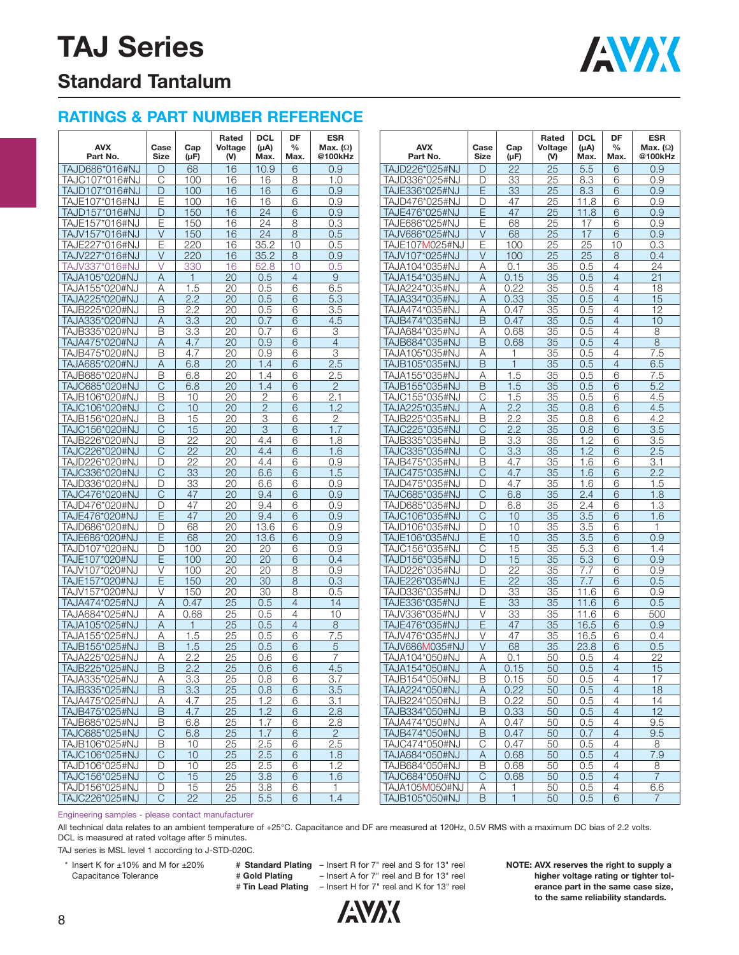## **TAJ Series**



### **Standard Tantalum**

### **RATINGS & PART NUMBER REFERENCE**

| <b>AVX</b><br>Part No.           | Case<br><b>Size</b> | Cap<br>(µF)     | Rated<br>Voltage<br>(V) | <b>DCL</b><br>$(\mu A)$<br>Max. | DF<br>$\frac{0}{0}$<br>Max. | <b>ESR</b><br>Max. $(\Omega)$<br>@100kHz | <b>AVX</b><br>Part No.           | Case<br>Size            | Cap<br>$(\mu F)$ | Rated<br>Voltage<br>(V) | <b>DCL</b><br>(µA)<br>Max. | DF<br>$\frac{0}{0}$<br>Max.      | <b>ESR</b><br>Max. $(\Omega)$<br>@100kHz |
|----------------------------------|---------------------|-----------------|-------------------------|---------------------------------|-----------------------------|------------------------------------------|----------------------------------|-------------------------|------------------|-------------------------|----------------------------|----------------------------------|------------------------------------------|
| TAJD686*016#NJ                   | D                   | 68              | 16                      | 10.9                            | 6                           | 0.9                                      | TAJD226*025#NJ                   | D                       | 22               | 25                      | 5.5                        | 6                                | 0.9                                      |
| TAJC107*016#NJ                   | C                   | 100             | 16                      | 16                              | 8                           | 1.0                                      | TAJD336*025#NJ                   | D                       | 33               | 25                      | 8.3                        | 6                                | 0.9                                      |
| TAJD107*016#NJ                   | D                   | 100             | 16                      | 16                              | 6                           | 0.9                                      | TAJE336*025#NJ                   | Е                       | 33               | 25                      | 8.3                        | 6                                | 0.9                                      |
| TAJE107*016#NJ                   | E                   | 100             | 16                      | 16                              | 6                           | 0.9                                      | TAJD476*025#NJ                   | D                       | 47               | 25                      | 11.8                       | 6                                | 0.9                                      |
| TAJD157*016#NJ                   | D                   | 150             | 16                      | 24                              | 6                           | 0.9                                      | TAJE476*025#NJ                   | E                       | 47               | 25                      | 11.8                       | 6                                | 0.9                                      |
| TAJE157*016#NJ                   | E                   | 150             | 16                      | 24                              | 8                           | 0.3                                      | TAJE686*025#NJ                   | E                       | 68               | 25                      | 17                         | 6                                | 0.9                                      |
| TAJV157*016#NJ                   | V                   | 150             | 16                      | 24                              | 8                           | 0.5                                      | TAJV686*025#NJ                   | V                       | 68               | 25                      | 17                         | 6                                | 0.9                                      |
| TAJE227*016#NJ                   | E                   | 220             | 16                      | 35.2                            | 10                          | 0.5                                      | TAJE107M025#NJ                   | $\overline{\mathsf{E}}$ | 100              | 25                      | $\overline{25}$            | 10                               | 0.3                                      |
| TAJV227*016#NJ                   | V                   | 220             | 16                      | 35.2                            | 8                           | 0.9                                      | TAJV107*025#NJ                   | V                       | 100              | 25                      | 25                         | 8                                | 0.4                                      |
| TAJV337*016#NJ                   | V                   | 330             | 16                      | 52.8                            | 10                          | 0.5                                      | TAJA104*035#NJ                   | Α                       | 0.1              | 35                      | 0.5                        | 4                                | 24                                       |
| TAJA105*020#NJ                   | Α                   | $\mathbf{1}$    | 20                      | 0.5                             | $\overline{4}$              | 9                                        | TAJA154*035#NJ                   | Α                       | 0.15             | 35                      | 0.5                        | $\overline{4}$                   | 21                                       |
| TAJA155*020#NJ                   | А                   | 1.5             | 20                      | 0.5                             | 6                           | 6.5                                      | TAJA224*035#NJ                   | Α                       | 0.22             | 35                      | 0.5                        | $\overline{4}$                   | 18                                       |
| TAJA225*020#NJ                   | Α                   | 2.2             | 20                      | 0.5                             | 6                           | 5.3                                      | TAJA334*035#NJ                   | Α                       | 0.33             | 35                      | 0.5                        | $\overline{4}$                   | 15<br>12                                 |
| TAJB225*020#NJ                   | B                   | 2.2             | 20                      | 0.5                             | 6                           | 3.5                                      | TAJA474*035#NJ                   | Α<br>B                  | 0.47             | 35                      | 0.5                        | $\overline{4}$                   | 10                                       |
| TAJA335*020#NJ                   | Α<br>B              | 3.3             | 20<br>20                | 0.7<br>0.7                      | 6<br>6                      | 4.5<br>3                                 | TAJB474*035#NJ                   |                         | 0.47<br>0.68     | 35<br>35                | 0.5<br>0.5                 | $\overline{4}$<br>$\overline{4}$ | 8                                        |
| TAJB335*020#NJ<br>TAJA475*020#NJ |                     | 3.3<br>4.7      | 20                      | 0.9                             | 6                           | $\overline{4}$                           | TAJA684*035#NJ                   | Α<br>B                  | 0.68             | 35                      | 0.5                        | $\overline{4}$                   | 8                                        |
| TAJB475*020#NJ                   | Α<br>B              | 4.7             | 20                      | 0.9                             | 6                           | 3                                        | TAJB684*035#NJ<br>TAJA105*035#NJ | Α                       | 1                | 35                      | 0.5                        | $\overline{4}$                   | 7.5                                      |
| TAJA685*020#NJ                   | Α                   | 6.8             | 20                      | 1.4                             | 6                           | 2.5                                      | TAJB105*035#NJ                   | B                       | $\mathbf{1}$     | 35                      | 0.5                        | $\overline{4}$                   | 6.5                                      |
| TAJB685*020#NJ                   | B                   | 6.8             | 20                      | 1.4                             | 6                           | 2.5                                      | TAJA155*035#NJ                   | Α                       | 1.5              | 35                      | 0.5                        | 6                                | 7.5                                      |
| TAJC685*020#NJ                   | C                   | 6.8             | 20                      | 1.4                             | 6                           | $\overline{2}$                           | TAJB155*035#NJ                   | B                       | 1.5              | 35                      | 0.5                        | 6                                | 5.2                                      |
| TAJB106*020#NJ                   | B                   | 10              | 20                      | 2                               | 6                           | 2.1                                      | TAJC155*035#NJ                   | $\mathsf{C}$            | 1.5              | 35                      | 0.5                        | 6                                | 4.5                                      |
| TAJC106*020#NJ                   | C                   | 10              | 20                      | $\overline{2}$                  | 6                           | 1.2                                      | TAJA225*035#NJ                   | Α                       | 2.2              | 35                      | 0.8                        | 6                                | 4.5                                      |
| TAJB156*020#NJ                   | B                   | 15              | 20                      | 3                               | 6                           | $\overline{2}$                           | TAJB225*035#NJ                   | B                       | 2.2              | 35                      | 0.8                        | 6                                | 4.2                                      |
| TAJC156*020#NJ                   | C                   | 15              | 20                      | 3                               | 6                           | 1.7                                      | TAJC225*035#NJ                   | C                       | 2.2              | 35                      | 0.8                        | 6                                | 3.5                                      |
| TAJB226*020#NJ                   | B                   | 22              | 20                      | 4.4                             | 6                           | 1.8                                      | TAJB335*035#NJ                   | B                       | 3.3              | 35                      | 1.2                        | 6                                | 3.5                                      |
| TAJC226*020#NJ                   | C                   | $\overline{22}$ | 20                      | 4.4                             | 6                           | 1.6                                      | TAJC335*035#NJ                   | C                       | 3.3              | 35                      | 1.2                        | 6                                | 2.5                                      |
| TAJD226*020#NJ                   | D                   | 22              | 20                      | 4.4                             | 6                           | 0.9                                      | TAJB475*035#NJ                   | B                       | 4.7              | 35                      | 1.6                        | 6                                | 3.1                                      |
| TAJC336*020#NJ                   | C                   | 33              | 20                      | 6.6                             | 6                           | 1.5                                      | TAJC475*035#NJ                   | C                       | 4.7              | 35                      | 1.6                        | 6                                | 2.2                                      |
| TAJD336*020#NJ                   | D                   | 33              | 20                      | 6.6                             | 6                           | 0.9                                      | TAJD475*035#NJ                   | D                       | 4.7              | 35                      | 1.6                        | 6                                | 1.5                                      |
| TAJC476*020#NJ                   | C                   | 47              | 20                      | 9.4                             | 6                           | 0.9                                      | TAJC685*035#NJ                   | C                       | 6.8              | 35                      | 2.4                        | 6                                | 1.8                                      |
| TAJD476*020#NJ                   | D                   | 47              | 20                      | 9.4                             | 6                           | 0.9                                      | TAJD685*035#NJ                   | D                       | 6.8              | 35                      | 2.4                        | 6                                | 1.3                                      |
| TAJE476*020#NJ                   | Ε                   | 47              | 20                      | 9.4                             | 6                           | 0.9                                      | TAJC106*035#NJ                   | C                       | 10               | 35                      | 3.5                        | 6                                | 1.6                                      |
| TAJD686*020#NJ                   | D                   | 68              | 20                      | 13.6                            | 6                           | 0.9                                      | TAJD106*035#NJ                   | D                       | 10               | 35                      | 3.5                        | 6                                | 1                                        |
| TAJE686*020#NJ                   | E                   | 68              | 20                      | 13.6                            | 6                           | 0.9                                      | TAJE106*035#NJ                   | E                       | 10               | 35                      | 3.5                        | 6                                | 0.9                                      |
| TAJD107*020#NJ                   | D                   | 100             | 20                      | 20                              | 6                           | 0.9                                      | TAJC156*035#NJ                   | C                       | 15               | 35                      | 5.3                        | 6                                | 1.4                                      |
| TAJE107*020#NJ                   | Ε                   | 100             | 20                      | 20                              | 6                           | 0.4                                      | TAJD156*035#NJ                   | D                       | 15               | 35                      | 5.3                        | 6                                | 0.9                                      |
| TAJV107*020#NJ                   | V                   | 100             | 20                      | 20                              | 8                           | 0.9                                      | TAJD226*035#NJ                   | D                       | 22               | 35                      | 7.7                        | 6                                | 0.9                                      |
| TAJE157*020#NJ                   | Ε                   | 150             | 20                      | 30                              | 8                           | 0.3                                      | TAJE226*035#NJ                   | E                       | 22               | 35                      | 7.7                        | 6                                | 0.5                                      |
| TAJV157*020#NJ                   | V                   | 150             | 20                      | 30                              | 8                           | 0.5                                      | TAJD336*035#NJ                   | D                       | 33               | 35                      | 11.6                       | 6                                | 0.9                                      |
| TAJA474*025#NJ                   | Α                   | 0.47            | 25                      | 0.5                             | $\overline{4}$              | 14                                       | TAJE336*035#NJ                   | E                       | 33               | 35                      | 11.6                       | 6                                | 0.5                                      |
| TAJA684*025#NJ                   | А                   | 0.68            | 25                      | 0.5                             | $\overline{4}$              | 10                                       | TAJV336*035#NJ                   | V                       | 33               | 35                      | 11.6                       | 6                                | 500                                      |
| TAJA105*025#NJ                   | Α                   | 1               | 25                      | 0.5                             | $\overline{4}$              | 8                                        | TAJE476*035#NJ                   | E                       | 47<br>47         | 35                      | 16.5                       | 6                                | 0.9                                      |
| TAJA155*025#NJ                   | Α                   | 1.5             | 25                      | 0.5                             | 6                           | 7.5                                      | TAJV476*035#NJ<br>TAJV686M035#NJ | V<br>$\vee$             |                  | 35                      | 16.5                       | 6                                | 0.4                                      |
| TAJB155*025#NJ                   | B                   | 1.5<br>2.2      | 25<br>25                | 0.5<br>0.6                      | 6<br>6                      | 5<br>7                                   | TAJA104*050#NJ                   | Α                       | 68<br>0.1        | 35<br>50                | 23.8<br>0.5                | 6<br>$\overline{4}$              | 0.5<br>22                                |
| TAJA225*025#NJ                   | Α<br>B              |                 |                         | 0.6                             | 6                           | 4.5                                      |                                  |                         |                  | 50                      |                            | $\overline{4}$                   | 15                                       |
| TAJB225*025#NJ<br>TAJA335*025#NJ |                     | 2.2             | 25<br>25                | 0.8                             | 6                           | 3.7                                      | TAJA154*050#NJ<br>TAJB154*050#NJ | Α<br>B                  | 0.15<br>0.15     |                         | 0.5<br>0.5                 | 4                                | 17                                       |
| TAJB335*025#NJ                   | A<br>B              | 3.3<br>3.3      | 25                      | 0.8                             | 6                           | 3.5                                      | TAJA224*050#NJ                   | A                       | 0.22             | 50<br>50                | 0.5                        | $\overline{4}$                   | 18                                       |
| TAJA475*025#NJ                   | Α                   | 4.7             | 25                      | 1.2                             | 6                           | 3.1                                      | TAJB224*050#NJ                   | B                       | 0.22             | 50                      | 0.5                        | $\overline{4}$                   | 14                                       |
| TAJB475*025#NJ                   | B                   | 4.7             | 25                      | 1.2                             | 6                           | 2.8                                      | TAJB334*050#NJ                   | B                       | 0.33             | 50                      | 0.5                        | $\overline{4}$                   | 12                                       |
| TAJB685*025#NJ                   | B                   | 6.8             | 25                      | 1.7                             | 6                           | 2.8                                      | TAJA474*050#NJ                   | Α                       | 0.47             | 50                      | 0.5                        | $\overline{4}$                   | 9.5                                      |
| TAJC685*025#NJ                   | С                   | 6.8             | 25                      | 1.7                             | 6                           | $\overline{2}$                           | TAJB474*050#NJ                   | $\mathsf B$             | 0.47             | 50                      | 0.7                        | $\overline{4}$                   | 9.5                                      |
| TAJB106*025#NJ                   | B                   | 10              | 25                      | 2.5                             | 6                           | 2.5                                      | TAJC474*050#NJ                   | C                       | 0.47             | 50                      | 0.5                        | $\overline{4}$                   | 8                                        |
| TAJC106*025#NJ                   | C                   | 10              | 25                      | 2.5                             | 6                           | 1.8                                      | TAJA684*050#NJ                   | A                       | 0.68             | 50                      | 0.5                        | $\overline{4}$                   | 7.9                                      |
| TAJD106*025#NJ                   | D                   | 10              | 25                      | 2.5                             | 6                           | 1.2                                      | TAJB684*050#NJ                   | B                       | 0.68             | 50                      | 0.5                        | $\overline{4}$                   | 8                                        |
| TAJC156*025#NJ                   | C                   | 15              | 25                      | 3.8                             | 6                           | 1.6                                      | TAJC684*050#NJ                   | C                       | 0.68             | 50                      | 0.5                        | $\overline{4}$                   | $\overline{7}$                           |
| TAJD156*025#NJ                   | D                   | 15              | 25                      | 3.8                             | 6                           | 1                                        | TAJA105M050#NJ                   | Α                       | 1                | 50                      | 0.5                        | 4                                | 6.6                                      |
| TAJC226*025#NJ                   | C                   | 22              | 25                      | 5.5                             | 6                           | 1.4                                      | TAJB105*050#NJ                   | B                       | $\mathbf{1}$     | 50                      | 0.5                        | 6                                | 7                                        |

Engineering samples - please contact manufacturer

All technical data relates to an ambient temperature of +25°C. Capacitance and DF are measured at 120Hz, 0.5V RMS with a maximum DC bias of 2.2 volts. DCL is measured at rated voltage after 5 minutes.

TAJ series is MSL level 1 according to J-STD-020C.

8

\* Insert K for ±10% and M for ±20% # **Standard Plating** – Insert R for 7" reel and S for 13" reel Capacitance Tolerance **A Fold Plating** - Insert A for 7" reel and B for 13" reel # **Tin Lead Plating** – Insert H for 7" reel and K for 13" reel

**ANAK** 

**NOTE: AVX reserves the right to supply a higher voltage rating or tighter tolerance part in the same case size, to the same reliability standards.**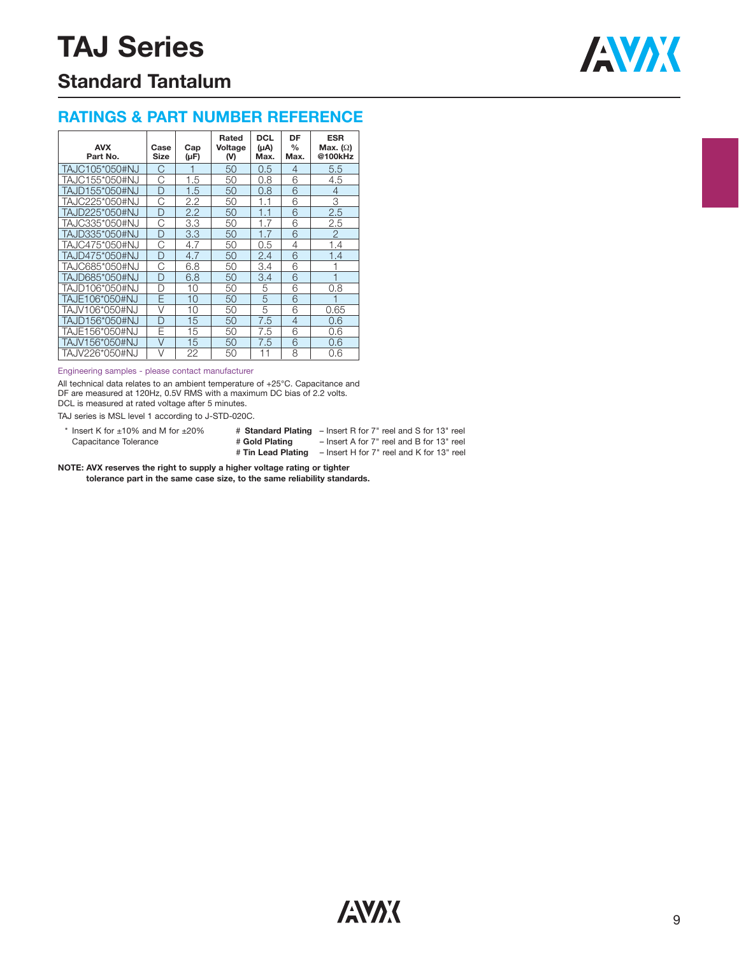

## **Standard Tantalum**

### **RATINGS & PART NUMBER REFERENCE**

| <b>AVX</b><br>Part No. | Case<br>Size | Cap<br>(µF) | Rated<br>Voltage<br>(V) | <b>DCL</b><br>$(\mu A)$<br>Max. | DF<br>%<br>Max. | <b>ESR</b><br>Max. $(\Omega)$<br>@100kHz |
|------------------------|--------------|-------------|-------------------------|---------------------------------|-----------------|------------------------------------------|
| TAJC105*050#NJ         | C            |             | 50                      | 0.5                             | 4               | 5.5                                      |
| TAJC155*050#NJ         | Ć            | 1.5         | 50                      | 0.8                             | 6               | 4.5                                      |
| TAJD155*050#NJ         | D            | 1.5         | 50                      | 0.8                             | 6               | 4                                        |
| TAJC225*050#NJ         | C            | 2.2         | 50                      | 1.1                             | 6               | 3                                        |
| TAJD225*050#NJ         | D            | 2.2         | 50                      | 1.1                             | 6               | 2.5                                      |
| TAJC335*050#NJ         | С            | 3.3         | 50                      | 1.7                             | 6               | 2.5                                      |
| TAJD335*050#NJ         | D            | 3.3         | 50                      | 1.7                             | 6               | $\overline{2}$                           |
| TAJC475*050#NJ         | С            | 4.7         | 50                      | 0.5                             | 4               | 1.4                                      |
| TAJD475*050#NJ         | D            | 4.7         | 50                      | 2.4                             | 6               | 1.4                                      |
| TAJC685*050#NJ         | C            | 6.8         | 50                      | 3.4                             | 6               |                                          |
| TAJD685*050#NJ         | D            | 6.8         | 50                      | 3.4                             | 6               |                                          |
| TAJD106*050#NJ         | n            | 10          | 50                      | 5                               | 6               | 0.8                                      |
| TAJE106*050#NJ         | F            | 10          | 50                      | 5                               | 6               |                                          |
| TAJV106*050#NJ         | V            | 10          | 50                      | 5                               | 6               | 0.65                                     |
| TAJD156*050#NJ         | D            | 15          | 50                      | 7.5                             | 4               | 0.6                                      |
| TAJE156*050#NJ         | F            | 15          | 50                      | 7.5                             | 6               | 0.6                                      |
| TAJV156*050#NJ         | $\vee$       | 15          | 50                      | 7.5                             | 6               | 0.6                                      |
| TAJV226*050#NJ         | V            | 22          | 50                      | 11                              | 8               | 0.6                                      |

#### Engineering samples - please contact manufacturer

All technical data relates to an ambient temperature of +25°C. Capacitance and DF are measured at 120Hz, 0.5V RMS with a maximum DC bias of 2.2 volts. DCL is measured at rated voltage after 5 minutes.

TAJ series is MSL level 1 according to J-STD-020C.

\* Insert K for ±10% and M for ±20% # Standard Plating - Insert R for 7" reel and S for 13" reel

Capacitance Tolerance # **Gold Plating** – Insert A for 7" reel and B for 13" reel

# **Tin Lead Plating** – Insert H for 7" reel and K for 13" reel

**NOTE: AVX reserves the right to supply a higher voltage rating or tighter** 

**tolerance part in the same case size, to the same reliability standards.**